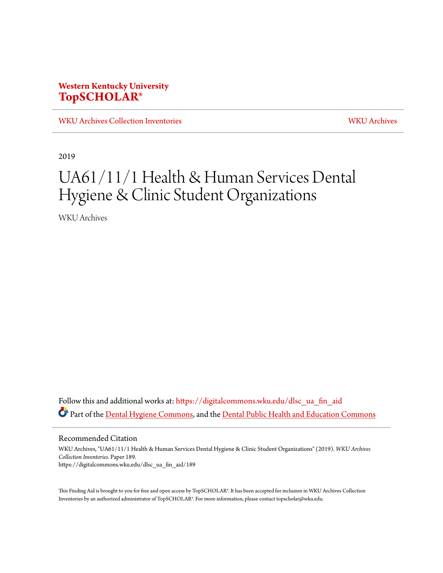### **Western Kentucky University [TopSCHOLAR®](https://digitalcommons.wku.edu/?utm_source=digitalcommons.wku.edu%2Fdlsc_ua_fin_aid%2F189&utm_medium=PDF&utm_campaign=PDFCoverPages)**

[WKU Archives Collection Inventories](https://digitalcommons.wku.edu/dlsc_ua_fin_aid?utm_source=digitalcommons.wku.edu%2Fdlsc_ua_fin_aid%2F189&utm_medium=PDF&utm_campaign=PDFCoverPages) [WKU Archives](https://digitalcommons.wku.edu/dlsc_ua?utm_source=digitalcommons.wku.edu%2Fdlsc_ua_fin_aid%2F189&utm_medium=PDF&utm_campaign=PDFCoverPages)

2019

# UA61/11/1 Health & Human Services Dental Hygiene & Clinic Student Organizations

WKU Archives

Follow this and additional works at: [https://digitalcommons.wku.edu/dlsc\\_ua\\_fin\\_aid](https://digitalcommons.wku.edu/dlsc_ua_fin_aid?utm_source=digitalcommons.wku.edu%2Fdlsc_ua_fin_aid%2F189&utm_medium=PDF&utm_campaign=PDFCoverPages) Part of the <u>Dental Hygiene Commons</u>, and the **[Dental Public Health and Education Commons](http://network.bepress.com/hgg/discipline/653?utm_source=digitalcommons.wku.edu%2Fdlsc_ua_fin_aid%2F189&utm_medium=PDF&utm_campaign=PDFCoverPages)** 

Recommended Citation

WKU Archives, "UA61/11/1 Health & Human Services Dental Hygiene & Clinic Student Organizations" (2019). *WKU Archives Collection Inventories.* Paper 189. https://digitalcommons.wku.edu/dlsc\_ua\_fin\_aid/189

This Finding Aid is brought to you for free and open access by TopSCHOLAR®. It has been accepted for inclusion in WKU Archives Collection Inventories by an authorized administrator of TopSCHOLAR®. For more information, please contact topscholar@wku.edu.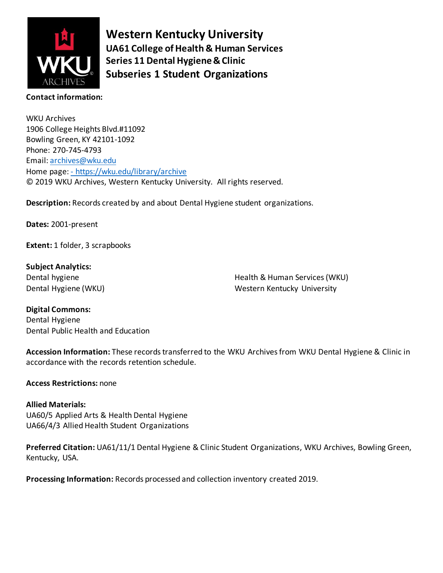

**Western Kentucky University UA61 College of Health & Human Services Series 11 Dental Hygiene & Clinic Subseries 1 Student Organizations**

#### **Contact information:**

WKU Archives 1906 College Heights Blvd.#11092 Bowling Green, KY 42101-1092 Phone: 270-745-4793 Email[: archives@wku.edu](mailto:archives@wku.edu) Home page: - <https://wku.edu/library/archive> © 2019 WKU Archives, Western Kentucky University. All rights reserved.

**Description:** Records created by and about Dental Hygiene student organizations.

**Dates:** 2001-present

**Extent:** 1 folder, 3 scrapbooks

**Subject Analytics:** Dental hygiene Dental Hygiene (WKU)

Health & Human Services (WKU) Western Kentucky University

**Digital Commons:** Dental Hygiene Dental Public Health and Education

**Accession Information:** These records transferred to the WKU Archives from WKU Dental Hygiene & Clinic in accordance with the records retention schedule.

**Access Restrictions:** none

#### **Allied Materials:**

UA60/5 Applied Arts & Health Dental Hygiene UA66/4/3 Allied Health Student Organizations

**Preferred Citation:** UA61/11/1 Dental Hygiene & Clinic Student Organizations, WKU Archives, Bowling Green, Kentucky, USA.

**Processing Information:** Records processed and collection inventory created 2019.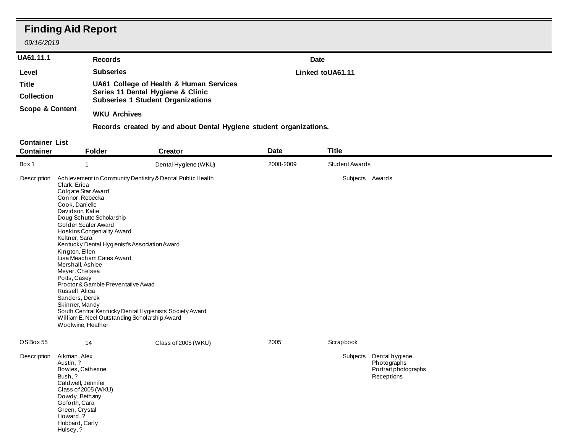## **Finding Aid Report**

Green, Crystal Howard, ? Hubbard, Carly Hulsey, ?

*09/16/2019*

| <b>UA61.11.1</b><br>Level<br><b>Title</b><br><b>Collection</b><br><b>Scope &amp; Content</b> |                                                                                                                                                                                                                                                                                                                    | <b>Records</b>                                                                                                                                                                                                                                                                                                         |                      |             | <b>Date</b><br>Linked toUA61.11 |                                                                     |  |  |  |
|----------------------------------------------------------------------------------------------|--------------------------------------------------------------------------------------------------------------------------------------------------------------------------------------------------------------------------------------------------------------------------------------------------------------------|------------------------------------------------------------------------------------------------------------------------------------------------------------------------------------------------------------------------------------------------------------------------------------------------------------------------|----------------------|-------------|---------------------------------|---------------------------------------------------------------------|--|--|--|
|                                                                                              |                                                                                                                                                                                                                                                                                                                    | <b>Subseries</b>                                                                                                                                                                                                                                                                                                       |                      |             |                                 |                                                                     |  |  |  |
|                                                                                              |                                                                                                                                                                                                                                                                                                                    | UA61 College of Health & Human Services<br>Series 11 Dental Hygiene & Clinic<br><b>Subseries 1 Student Organizations</b>                                                                                                                                                                                               |                      |             |                                 |                                                                     |  |  |  |
|                                                                                              |                                                                                                                                                                                                                                                                                                                    | <b>WKU Archives</b>                                                                                                                                                                                                                                                                                                    |                      |             |                                 |                                                                     |  |  |  |
|                                                                                              |                                                                                                                                                                                                                                                                                                                    | Records created by and about Dental Hygiene student organizations.                                                                                                                                                                                                                                                     |                      |             |                                 |                                                                     |  |  |  |
| <b>Container List</b>                                                                        |                                                                                                                                                                                                                                                                                                                    |                                                                                                                                                                                                                                                                                                                        |                      |             |                                 |                                                                     |  |  |  |
| <b>Container</b>                                                                             |                                                                                                                                                                                                                                                                                                                    | <b>Folder</b>                                                                                                                                                                                                                                                                                                          | <b>Creator</b>       | <b>Date</b> | <b>Title</b>                    |                                                                     |  |  |  |
| Box 1                                                                                        | $\overline{1}$                                                                                                                                                                                                                                                                                                     |                                                                                                                                                                                                                                                                                                                        | Dental Hygiene (WKU) | 2008-2009   | <b>Student Awards</b>           |                                                                     |  |  |  |
| Description                                                                                  | Clark, Erica<br>Colgate Star Award<br>Connor, Rebecka<br>Cook, Danielle<br>Davidson, Katie<br>Doug Schutte Scholarship<br>Golden Scaler Award<br>Keltner, Sara<br>Kington, Ellen<br>Mershall, Ashlee<br>Meyer, Chelsea<br>Potts, Casey<br>Russell, Alicia<br>Sanders, Derek<br>Skinner, Mandy<br>Woolwine, Heather | Achievement in Community Dentistry & Dental Public Health<br>Hoskins Congeniality Award<br>Kentucky Dental Hygienist's Association Award<br>Lisa Meacham Cates Award<br>Proctor & Gamble Preventative Awad<br>South Central Kentucky Dental Hygienists' Society Award<br>William E. Neel Outstanding Scholarship Award |                      |             | Subjects Awards                 |                                                                     |  |  |  |
| OS Box 55<br>Description                                                                     | 14<br>Aikman, Alex<br>Austin, ?<br>Bowles, Catherine<br>Bush, ?<br>Caldwell, Jennifer<br>Class of 2005 (WKU)<br>Dowdy, Bethany<br>Goforth, Cara                                                                                                                                                                    |                                                                                                                                                                                                                                                                                                                        | Class of 2005 (WKU)  | 2005        | Scrapbook<br>Subjects           | Dental hygiene<br>Photographs<br>Portrait photographs<br>Receptions |  |  |  |